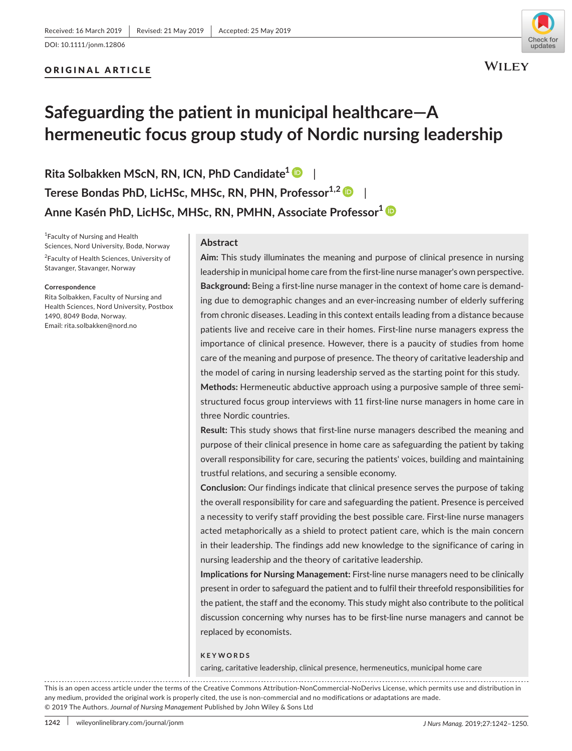# ORIGINAL ARTICLE



# **Safeguarding the patient in municipal healthcare—A hermeneutic focus group study of Nordic nursing leadership**

**Rita Solbakken MScN, RN, ICN, PhD Candidate1** | **Terese Bondas PhD, LicHSc, MHSc, RN, PHN, Professor<sup>1,2</sup> | Anne Kasén PhD, LicHSc, MHSc, RN, PMHN, Associate Professor[1](https://orcid.org/0000-0001-8093-4054)**

1 Faculty of Nursing and Health Sciences, Nord University, Bodø, Norway <sup>2</sup> Faculty of Health Sciences, University of Stavanger, Stavanger, Norway

#### **Correspondence**

Rita Solbakken, Faculty of Nursing and Health Sciences, Nord University, Postbox 1490, 8049 Bodø, Norway. Email: [rita.solbakken@nord.no](mailto:rita.solbakken@nord.no)

# **Abstract**

**Aim:** This study illuminates the meaning and purpose of clinical presence in nursing leadership in municipal home care from the first‐line nurse manager's own perspective. **Background:** Being a first-line nurse manager in the context of home care is demanding due to demographic changes and an ever‐increasing number of elderly suffering from chronic diseases. Leading in this context entails leading from a distance because patients live and receive care in their homes. First-line nurse managers express the importance of clinical presence. However, there is a paucity of studies from home care of the meaning and purpose of presence. The theory of caritative leadership and the model of caring in nursing leadership served as the starting point for this study. **Methods:** Hermeneutic abductive approach using a purposive sample of three semi‐ structured focus group interviews with 11 first‐line nurse managers in home care in three Nordic countries.

**Result:** This study shows that first‐line nurse managers described the meaning and purpose of their clinical presence in home care as safeguarding the patient by taking overall responsibility for care, securing the patients' voices, building and maintaining trustful relations, and securing a sensible economy.

**Conclusion:** Our findings indicate that clinical presence serves the purpose of taking the overall responsibility for care and safeguarding the patient. Presence is perceived a necessity to verify staff providing the best possible care. First-line nurse managers acted metaphorically as a shield to protect patient care, which is the main concern in their leadership. The findings add new knowledge to the significance of caring in nursing leadership and the theory of caritative leadership.

**Implications for Nursing Management: First-line nurse managers need to be clinically** present in order to safeguard the patient and to fulfil their threefold responsibilities for the patient, the staff and the economy. This study might also contribute to the political discussion concerning why nurses has to be first-line nurse managers and cannot be replaced by economists.

### **KEYWORDS**

caring, caritative leadership, clinical presence, hermeneutics, municipal home care

This is an open access article under the terms of the [Creative Commons Attribution‐NonCommercial‐NoDerivs](http://creativecommons.org/licenses/by-nc-nd/4.0/) License, which permits use and distribution in any medium, provided the original work is properly cited, the use is non-commercial and no modifications or adaptations are made. © 2019 The Authors. *Journal of Nursing Management* Published by John Wiley & Sons Ltd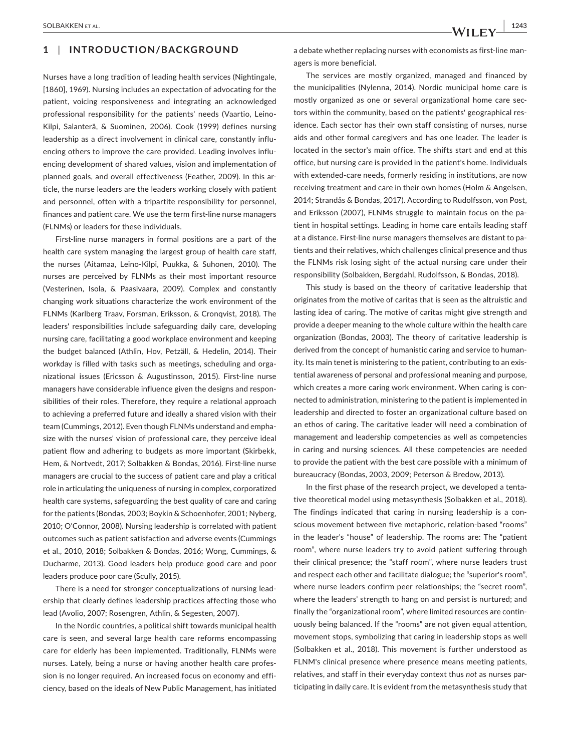#### **|** SOLBAKKEN et al. **1243**

# **1** | **INTRODUCTION/BACKGROUND**

Nurses have a long tradition of leading health services (Nightingale, [1860], 1969). Nursing includes an expectation of advocating for the patient, voicing responsiveness and integrating an acknowledged professional responsibility for the patients' needs (Vaartio, Leino‐ Kilpi, Salanterä, & Suominen, 2006). Cook (1999) defines nursing leadership as a direct involvement in clinical care, constantly influencing others to improve the care provided. Leading involves influ‐ encing development of shared values, vision and implementation of planned goals, and overall effectiveness (Feather, 2009). In this ar‐ ticle, the nurse leaders are the leaders working closely with patient and personnel, often with a tripartite responsibility for personnel, finances and patient care. We use the term first‐line nurse managers (FLNMs) or leaders for these individuals.

First-line nurse managers in formal positions are a part of the health care system managing the largest group of health care staff, the nurses (Aitamaa, Leino‐Kilpi, Puukka, & Suhonen, 2010). The nurses are perceived by FLNMs as their most important resource (Vesterinen, Isola, & Paasivaara, 2009). Complex and constantly changing work situations characterize the work environment of the FLNMs (Karlberg Traav, Forsman, Eriksson, & Cronqvist, 2018). The leaders' responsibilities include safeguarding daily care, developing nursing care, facilitating a good workplace environment and keeping the budget balanced (Athlin, Hov, Petzäll, & Hedelin, 2014). Their workday is filled with tasks such as meetings, scheduling and organizational issues (Ericsson & Augustinsson, 2015). First‐line nurse managers have considerable influence given the designs and respon‐ sibilities of their roles. Therefore, they require a relational approach to achieving a preferred future and ideally a shared vision with their team (Cummings, 2012). Even though FLNMs understand and empha‐ size with the nurses' vision of professional care, they perceive ideal patient flow and adhering to budgets as more important (Skirbekk, Hem, & Nortvedt, 2017; Solbakken & Bondas, 2016). First‐line nurse managers are crucial to the success of patient care and play a critical role in articulating the uniqueness of nursing in complex, corporatized health care systems, safeguarding the best quality of care and caring for the patients (Bondas, 2003; Boykin & Schoenhofer, 2001; Nyberg, 2010; O'Connor, 2008). Nursing leadership is correlated with patient outcomes such as patient satisfaction and adverse events (Cummings et al., 2010, 2018; Solbakken & Bondas, 2016; Wong, Cummings, & Ducharme, 2013). Good leaders help produce good care and poor leaders produce poor care (Scully, 2015).

There is a need for stronger conceptualizations of nursing lead‐ ership that clearly defines leadership practices affecting those who lead (Avolio, 2007; Rosengren, Athlin, & Segesten, 2007).

In the Nordic countries, a political shift towards municipal health care is seen, and several large health care reforms encompassing care for elderly has been implemented. Traditionally, FLNMs were nurses. Lately, being a nurse or having another health care profes‐ sion is no longer required. An increased focus on economy and effi‐ ciency, based on the ideals of New Public Management, has initiated a debate whether replacing nurses with economists as first-line managers is more beneficial.

The services are mostly organized, managed and financed by the municipalities (Nylenna, 2014). Nordic municipal home care is mostly organized as one or several organizational home care sec‐ tors within the community, based on the patients' geographical res‐ idence. Each sector has their own staff consisting of nurses, nurse aids and other formal caregivers and has one leader. The leader is located in the sector's main office. The shifts start and end at this office, but nursing care is provided in the patient's home. Individuals with extended-care needs, formerly residing in institutions, are now receiving treatment and care in their own homes (Holm & Angelsen, 2014; Strandås & Bondas, 2017). According to Rudolfsson, von Post, and Eriksson (2007), FLNMs struggle to maintain focus on the patient in hospital settings. Leading in home care entails leading staff at a distance. First-line nurse managers themselves are distant to patients and their relatives, which challenges clinical presence and thus the FLNMs risk losing sight of the actual nursing care under their responsibility (Solbakken, Bergdahl, Rudolfsson, & Bondas, 2018).

This study is based on the theory of caritative leadership that originates from the motive of caritas that is seen as the altruistic and lasting idea of caring. The motive of caritas might give strength and provide a deeper meaning to the whole culture within the health care organization (Bondas, 2003). The theory of caritative leadership is derived from the concept of humanistic caring and service to human‐ ity. Its main tenet is ministering to the patient, contributing to an existential awareness of personal and professional meaning and purpose, which creates a more caring work environment. When caring is connected to administration, ministering to the patient is implemented in leadership and directed to foster an organizational culture based on an ethos of caring. The caritative leader will need a combination of management and leadership competencies as well as competencies in caring and nursing sciences. All these competencies are needed to provide the patient with the best care possible with a minimum of bureaucracy (Bondas, 2003, 2009; Peterson & Bredow, 2013).

In the first phase of the research project, we developed a tenta‐ tive theoretical model using metasynthesis (Solbakken et al., 2018). The findings indicated that caring in nursing leadership is a con‐ scious movement between five metaphoric, relation‐based "rooms" in the leader's "house" of leadership. The rooms are: The "patient room", where nurse leaders try to avoid patient suffering through their clinical presence; the "staff room", where nurse leaders trust and respect each other and facilitate dialogue; the "superior's room", where nurse leaders confirm peer relationships; the "secret room", where the leaders' strength to hang on and persist is nurtured; and finally the "organizational room", where limited resources are contin‐ uously being balanced. If the "rooms" are not given equal attention, movement stops, symbolizing that caring in leadership stops as well (Solbakken et al., 2018). This movement is further understood as FLNM's clinical presence where presence means meeting patients, relatives, and staff in their everyday context thus *not* as nurses par‐ ticipating in daily care. It is evident from the metasynthesis study that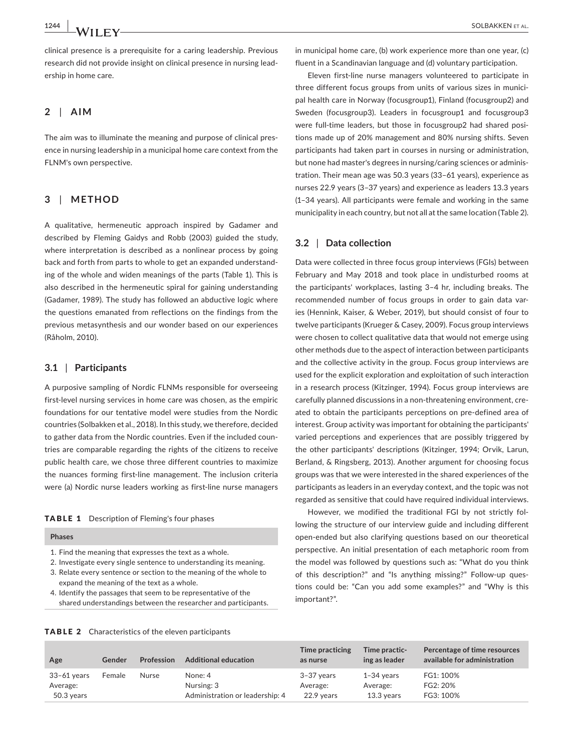clinical presence is a prerequisite for a caring leadership. Previous research did not provide insight on clinical presence in nursing lead‐ ership in home care.

## **2** | **AIM**

The aim was to illuminate the meaning and purpose of clinical pres‐ ence in nursing leadership in a municipal home care context from the FLNM's own perspective.

# **3** | **METHOD**

A qualitative, hermeneutic approach inspired by Gadamer and described by Fleming Gaidys and Robb (2003) guided the study, where interpretation is described as a nonlinear process by going back and forth from parts to whole to get an expanded understand‐ ing of the whole and widen meanings of the parts (Table 1). This is also described in the hermeneutic spiral for gaining understanding (Gadamer, 1989). The study has followed an abductive logic where the questions emanated from reflections on the findings from the previous metasynthesis and our wonder based on our experiences (Råholm, 2010).

## **3.1** | **Participants**

A purposive sampling of Nordic FLNMs responsible for overseeing first-level nursing services in home care was chosen, as the empiric foundations for our tentative model were studies from the Nordic countries (Solbakken et al., 2018). In this study, we therefore, decided to gather data from the Nordic countries. Even if the included coun‐ tries are comparable regarding the rights of the citizens to receive public health care, we chose three different countries to maximize the nuances forming first‐line management. The inclusion criteria were (a) Nordic nurse leaders working as first-line nurse managers

#### TABLE 1 Description of Fleming's four phases

#### **Phases**

- 1. Find the meaning that expresses the text as a whole.
- 2. Investigate every single sentence to understanding its meaning.
- 3. Relate every sentence or section to the meaning of the whole to expand the meaning of the text as a whole.
- 4. Identify the passages that seem to be representative of the shared understandings between the researcher and participants.

in municipal home care, (b) work experience more than one year, (c) fluent in a Scandinavian language and (d) voluntary participation.

Eleven first-line nurse managers volunteered to participate in three different focus groups from units of various sizes in munici‐ pal health care in Norway (focusgroup1), Finland (focusgroup2) and Sweden (focusgroup3). Leaders in focusgroup1 and focusgroup3 were full-time leaders, but those in focusgroup2 had shared positions made up of 20% management and 80% nursing shifts. Seven participants had taken part in courses in nursing or administration, but none had master's degrees in nursing/caring sciences or adminis‐ tration. Their mean age was 50.3 years (33–61 years), experience as nurses 22.9 years (3–37 years) and experience as leaders 13.3 years (1–34 years). All participants were female and working in the same municipality in each country, but not all at the same location (Table 2).

## **3.2** | **Data collection**

Data were collected in three focus group interviews (FGIs) between February and May 2018 and took place in undisturbed rooms at the participants' workplaces, lasting 3–4 hr, including breaks. The recommended number of focus groups in order to gain data var‐ ies (Hennink, Kaiser, & Weber, 2019), but should consist of four to twelve participants (Krueger & Casey, 2009). Focus group interviews were chosen to collect qualitative data that would not emerge using other methods due to the aspect of interaction between participants and the collective activity in the group. Focus group interviews are used for the explicit exploration and exploitation of such interaction in a research process (Kitzinger, 1994). Focus group interviews are carefully planned discussions in a non-threatening environment, created to obtain the participants perceptions on pre‐defined area of interest. Group activity was important for obtaining the participants' varied perceptions and experiences that are possibly triggered by the other participants' descriptions (Kitzinger, 1994; Orvik, Larun, Berland, & Ringsberg, 2013). Another argument for choosing focus groups was that we were interested in the shared experiences of the participants as leaders in an everyday context, and the topic was not regarded as sensitive that could have required individual interviews.

However, we modified the traditional FGI by not strictly fol‐ lowing the structure of our interview guide and including different open‐ended but also clarifying questions based on our theoretical perspective. An initial presentation of each metaphoric room from the model was followed by questions such as: "What do you think of this description?" and "Is anything missing?" Follow‐up ques‐ tions could be: "Can you add some examples?" and "Why is this important?".

| <b>TABLE 2</b> Characteristics of the eleven participants |  |
|-----------------------------------------------------------|--|
|-----------------------------------------------------------|--|

| Age                                     | Gender | <b>Profession</b> | <b>Additional education</b>                              | Time practicing<br>as nurse          | Time practic-<br>ing as leader         | Percentage of time resources<br>available for administration |
|-----------------------------------------|--------|-------------------|----------------------------------------------------------|--------------------------------------|----------------------------------------|--------------------------------------------------------------|
| 33-61 years<br>Average:<br>$50.3$ years | Female | Nurse             | None: 4<br>Nursing: 3<br>Administration or leadership: 4 | 3-37 years<br>Average:<br>22.9 years | $1-34$ vears<br>Average:<br>13.3 years | FG1: 100%<br>FG2: 20%<br>FG3: 100%                           |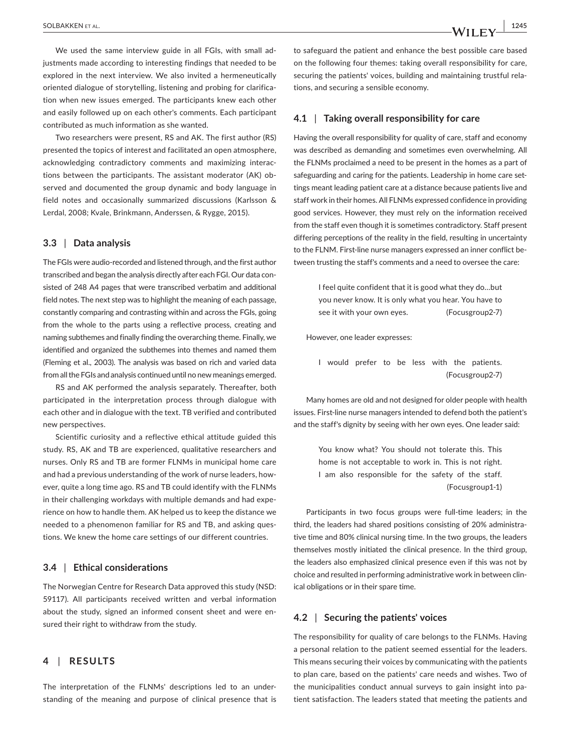We used the same interview guide in all FGIs, with small adjustments made according to interesting findings that needed to be explored in the next interview. We also invited a hermeneutically oriented dialogue of storytelling, listening and probing for clarifica‐ tion when new issues emerged. The participants knew each other and easily followed up on each other's comments. Each participant contributed as much information as she wanted.

Two researchers were present, RS and AK. The first author (RS) presented the topics of interest and facilitated an open atmosphere, acknowledging contradictory comments and maximizing interac‐ tions between the participants. The assistant moderator (AK) ob‐ served and documented the group dynamic and body language in field notes and occasionally summarized discussions (Karlsson & Lerdal, 2008; Kvale, Brinkmann, Anderssen, & Rygge, 2015).

#### **3.3** | **Data analysis**

The FGIs were audio‐recorded and listened through, and the first author transcribed and began the analysis directly after each FGI. Our data con‐ sisted of 248 A4 pages that were transcribed verbatim and additional field notes. The next step was to highlight the meaning of each passage, constantly comparing and contrasting within and across the FGIs, going from the whole to the parts using a reflective process, creating and naming subthemes and finally finding the overarching theme. Finally, we identified and organized the subthemes into themes and named them (Fleming et al., 2003). The analysis was based on rich and varied data from all the FGIs and analysis continued until no new meanings emerged.

RS and AK performed the analysis separately. Thereafter, both participated in the interpretation process through dialogue with each other and in dialogue with the text. TB verified and contributed new perspectives.

Scientific curiosity and a reflective ethical attitude guided this study. RS, AK and TB are experienced, qualitative researchers and nurses. Only RS and TB are former FLNMs in municipal home care and had a previous understanding of the work of nurse leaders, however, quite a long time ago. RS and TB could identify with the FLNMs in their challenging workdays with multiple demands and had experience on how to handle them. AK helped us to keep the distance we needed to a phenomenon familiar for RS and TB, and asking ques‐ tions. We knew the home care settings of our different countries.

### **3.4** | **Ethical considerations**

The Norwegian Centre for Research Data approved this study (NSD: 59117). All participants received written and verbal information about the study, signed an informed consent sheet and were ensured their right to withdraw from the study.

# **4** | **RESULTS**

The interpretation of the FLNMs' descriptions led to an under‐ standing of the meaning and purpose of clinical presence that is to safeguard the patient and enhance the best possible care based on the following four themes: taking overall responsibility for care, securing the patients' voices, building and maintaining trustful rela‐ tions, and securing a sensible economy.

## **4.1** | **Taking overall responsibility for care**

Having the overall responsibility for quality of care, staff and economy was described as demanding and sometimes even overwhelming. All the FLNMs proclaimed a need to be present in the homes as a part of safeguarding and caring for the patients. Leadership in home care settings meant leading patient care at a distance because patients live and staff work in their homes. All FLNMs expressed confidence in providing good services. However, they must rely on the information received from the staff even though it is sometimes contradictory. Staff present differing perceptions of the reality in the field, resulting in uncertainty to the FLNM. First-line nurse managers expressed an inner conflict between trusting the staff's comments and a need to oversee the care:

> I feel quite confident that it is good what they do…but you never know. It is only what you hear. You have to see it with your own eyes. (Focusgroup2-7)

However, one leader expresses:

I would prefer to be less with the patients. (Focusgroup2‐7)

Many homes are old and not designed for older people with health issues. First‐line nurse managers intended to defend both the patient's and the staff's dignity by seeing with her own eyes. One leader said:

> You know what? You should not tolerate this. This home is not acceptable to work in. This is not right. I am also responsible for the safety of the staff. (Focusgroup1‐1)

Participants in two focus groups were full-time leaders; in the third, the leaders had shared positions consisting of 20% administra‐ tive time and 80% clinical nursing time. In the two groups, the leaders themselves mostly initiated the clinical presence. In the third group, the leaders also emphasized clinical presence even if this was not by choice and resulted in performing administrative work in between clin‐ ical obligations or in their spare time.

## **4.2** | **Securing the patients' voices**

The responsibility for quality of care belongs to the FLNMs. Having a personal relation to the patient seemed essential for the leaders. This means securing their voices by communicating with the patients to plan care, based on the patients' care needs and wishes. Two of the municipalities conduct annual surveys to gain insight into pa‐ tient satisfaction. The leaders stated that meeting the patients and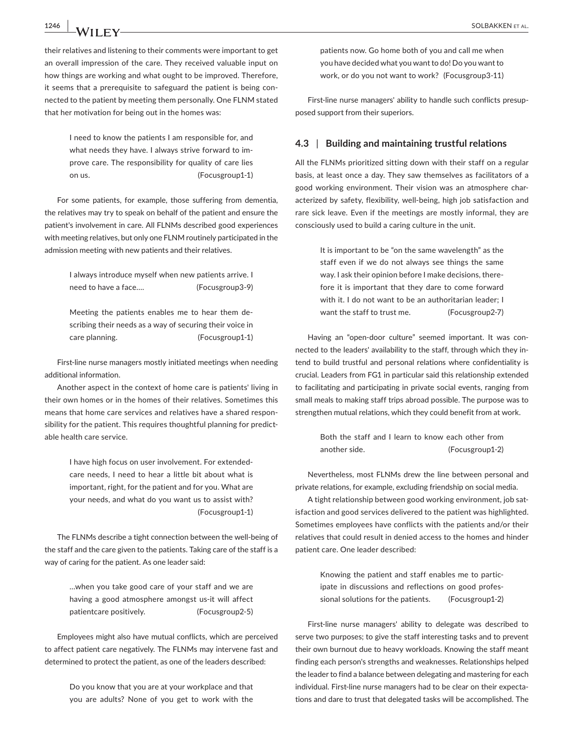**1246 |**  SOLBAKKEN et al.

their relatives and listening to their comments were important to get an overall impression of the care. They received valuable input on how things are working and what ought to be improved. Therefore, it seems that a prerequisite to safeguard the patient is being con‐ nected to the patient by meeting them personally. One FLNM stated that her motivation for being out in the homes was:

> I need to know the patients I am responsible for, and what needs they have. I always strive forward to im‐ prove care. The responsibility for quality of care lies on us. (Focusgroup1-1)

For some patients, for example, those suffering from dementia, the relatives may try to speak on behalf of the patient and ensure the patient's involvement in care. All FLNMs described good experiences with meeting relatives, but only one FLNM routinely participated in the admission meeting with new patients and their relatives.

> I always introduce myself when new patients arrive. I need to have a face.... (Focusgroup3-9)

> Meeting the patients enables me to hear them de‐ scribing their needs as a way of securing their voice in care planning. (Focusgroup1-1)

First-line nurse managers mostly initiated meetings when needing additional information.

Another aspect in the context of home care is patients' living in their own homes or in the homes of their relatives. Sometimes this means that home care services and relatives have a shared respon‐ sibility for the patient. This requires thoughtful planning for predictable health care service.

> I have high focus on user involvement. For extended‐ care needs, I need to hear a little bit about what is important, right, for the patient and for you. What are your needs, and what do you want us to assist with? (Focusgroup1‐1)

The FLNMs describe a tight connection between the well‐being of the staff and the care given to the patients. Taking care of the staff is a way of caring for the patient. As one leader said:

> …when you take good care of your staff and we are having a good atmosphere amongst us‐it will affect patientcare positively. (Focusgroup2‐5)

Employees might also have mutual conflicts, which are perceived to affect patient care negatively. The FLNMs may intervene fast and determined to protect the patient, as one of the leaders described:

> Do you know that you are at your workplace and that you are adults? None of you get to work with the

patients now. Go home both of you and call me when you have decided what you want to do! Do you want to work, or do you not want to work? (Focusgroup3‐11)

First-line nurse managers' ability to handle such conflicts presupposed support from their superiors.

# **4.3** | **Building and maintaining trustful relations**

All the FLNMs prioritized sitting down with their staff on a regular basis, at least once a day. They saw themselves as facilitators of a good working environment. Their vision was an atmosphere characterized by safety, flexibility, well‐being, high job satisfaction and rare sick leave. Even if the meetings are mostly informal, they are consciously used to build a caring culture in the unit.

> It is important to be "on the same wavelength" as the staff even if we do not always see things the same way. I ask their opinion before I make decisions, there‐ fore it is important that they dare to come forward with it. I do not want to be an authoritarian leader: I want the staff to trust me. (Focusgroup2-7)

Having an "open‐door culture" seemed important. It was con‐ nected to the leaders' availability to the staff, through which they in‐ tend to build trustful and personal relations where confidentiality is crucial. Leaders from FG1 in particular said this relationship extended to facilitating and participating in private social events, ranging from small meals to making staff trips abroad possible. The purpose was to strengthen mutual relations, which they could benefit from at work.

> Both the staff and I learn to know each other from another side. (Focusgroup1-2)

Nevertheless, most FLNMs drew the line between personal and private relations, for example, excluding friendship on social media.

A tight relationship between good working environment, job sat‐ isfaction and good services delivered to the patient was highlighted. Sometimes employees have conflicts with the patients and/or their relatives that could result in denied access to the homes and hinder patient care. One leader described:

> Knowing the patient and staff enables me to partic‐ ipate in discussions and reflections on good professional solutions for the patients. (Focusgroup1-2)

First-line nurse managers' ability to delegate was described to serve two purposes; to give the staff interesting tasks and to prevent their own burnout due to heavy workloads. Knowing the staff meant finding each person's strengths and weaknesses. Relationships helped the leader to find a balance between delegating and mastering for each individual. First-line nurse managers had to be clear on their expectations and dare to trust that delegated tasks will be accomplished. The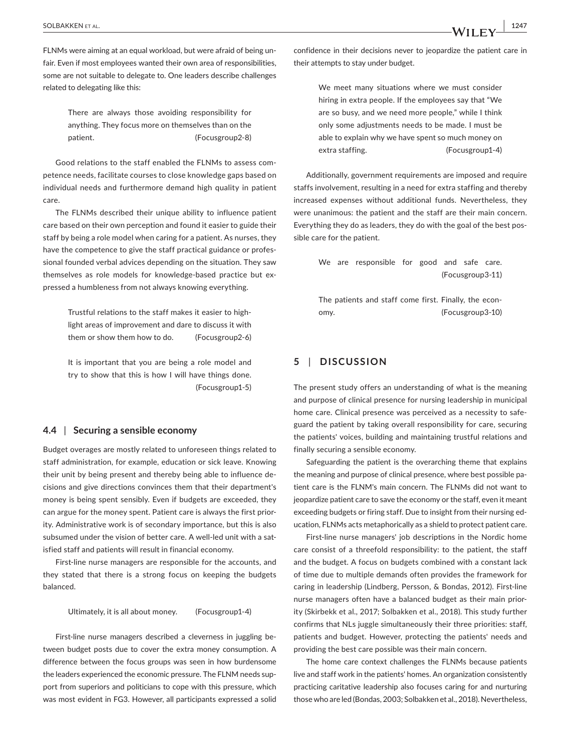FLNMs were aiming at an equal workload, but were afraid of being un‐ fair. Even if most employees wanted their own area of responsibilities, some are not suitable to delegate to. One leaders describe challenges related to delegating like this:

> There are always those avoiding responsibility for anything. They focus more on themselves than on the patient. (Focusgroup2-8)

Good relations to the staff enabled the FLNMs to assess com‐ petence needs, facilitate courses to close knowledge gaps based on individual needs and furthermore demand high quality in patient care.

The FLNMs described their unique ability to influence patient care based on their own perception and found it easier to guide their staff by being a role model when caring for a patient. As nurses, they have the competence to give the staff practical guidance or profes‐ sional founded verbal advices depending on the situation. They saw themselves as role models for knowledge‐based practice but ex‐ pressed a humbleness from not always knowing everything.

> Trustful relations to the staff makes it easier to high‐ light areas of improvement and dare to discuss it with them or show them how to do. (Focusgroup2‐6)

> It is important that you are being a role model and try to show that this is how I will have things done. (Focusgroup1‐5)

## **4.4** | **Securing a sensible economy**

Budget overages are mostly related to unforeseen things related to staff administration, for example, education or sick leave. Knowing their unit by being present and thereby being able to influence de‐ cisions and give directions convinces them that their department's money is being spent sensibly. Even if budgets are exceeded, they can argue for the money spent. Patient care is always the first prior‐ ity. Administrative work is of secondary importance, but this is also subsumed under the vision of better care. A well-led unit with a satisfied staff and patients will result in financial economy.

First-line nurse managers are responsible for the accounts, and they stated that there is a strong focus on keeping the budgets balanced.

Ultimately, it is all about money. (Focusgroup1‐4)

First-line nurse managers described a cleverness in juggling between budget posts due to cover the extra money consumption. A difference between the focus groups was seen in how burdensome the leaders experienced the economic pressure. The FLNM needs sup‐ port from superiors and politicians to cope with this pressure, which was most evident in FG3. However, all participants expressed a solid confidence in their decisions never to jeopardize the patient care in their attempts to stay under budget.

> We meet many situations where we must consider hiring in extra people. If the employees say that "We are so busy, and we need more people," while I think only some adjustments needs to be made. I must be able to explain why we have spent so much money on extra staffing. (Focusgroup1-4)

Additionally, government requirements are imposed and require staffs involvement, resulting in a need for extra staffing and thereby increased expenses without additional funds. Nevertheless, they were unanimous: the patient and the staff are their main concern. Everything they do as leaders, they do with the goal of the best pos‐ sible care for the patient.

> We are responsible for good and safe care. (Focusgroup3‐11)

> The patients and staff come first. Finally, the econ‐ omy. (Focusgroup3‐10)

# **5** | **DISCUSSION**

The present study offers an understanding of what is the meaning and purpose of clinical presence for nursing leadership in municipal home care. Clinical presence was perceived as a necessity to safe‐ guard the patient by taking overall responsibility for care, securing the patients' voices, building and maintaining trustful relations and finally securing a sensible economy.

Safeguarding the patient is the overarching theme that explains the meaning and purpose of clinical presence, where best possible pa‐ tient care is the FLNM's main concern. The FLNMs did not want to jeopardize patient care to save the economy or the staff, even it meant exceeding budgets or firing staff. Due to insight from their nursing ed‐ ucation, FLNMs acts metaphorically as a shield to protect patient care.

First‐line nurse managers' job descriptions in the Nordic home care consist of a threefold responsibility: to the patient, the staff and the budget. A focus on budgets combined with a constant lack of time due to multiple demands often provides the framework for caring in leadership (Lindberg, Persson, & Bondas, 2012). First‐line nurse managers often have a balanced budget as their main prior‐ ity (Skirbekk et al., 2017; Solbakken et al., 2018). This study further confirms that NLs juggle simultaneously their three priorities: staff, patients and budget. However, protecting the patients' needs and providing the best care possible was their main concern.

The home care context challenges the FLNMs because patients live and staff work in the patients' homes. An organization consistently practicing caritative leadership also focuses caring for and nurturing those who are led (Bondas, 2003; Solbakken et al., 2018). Nevertheless,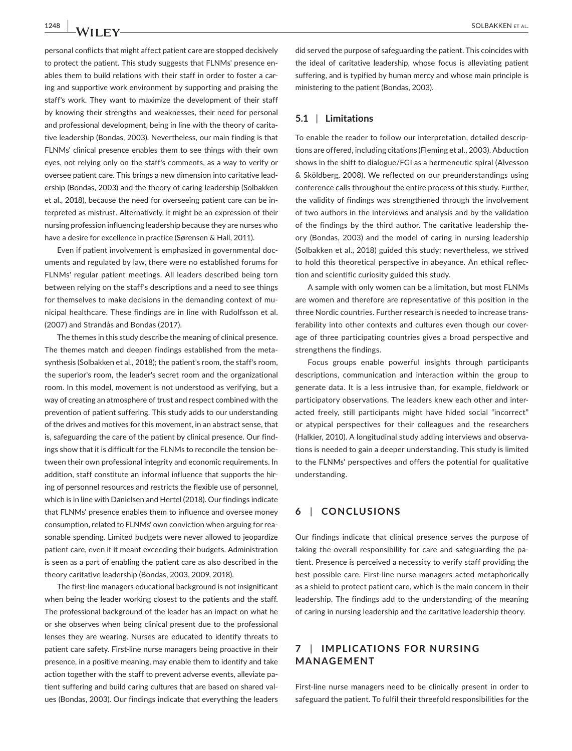personal conflicts that might affect patient care are stopped decisively to protect the patient. This study suggests that FLNMs' presence en‐ ables them to build relations with their staff in order to foster a caring and supportive work environment by supporting and praising the staff's work. They want to maximize the development of their staff by knowing their strengths and weaknesses, their need for personal and professional development, being in line with the theory of caritative leadership (Bondas, 2003). Nevertheless, our main finding is that FLNMs' clinical presence enables them to see things with their own eyes, not relying only on the staff's comments, as a way to verify or oversee patient care. This brings a new dimension into caritative lead‐ ership (Bondas, 2003) and the theory of caring leadership (Solbakken et al., 2018), because the need for overseeing patient care can be in‐ terpreted as mistrust. Alternatively, it might be an expression of their nursing profession influencing leadership because they are nurses who have a desire for excellence in practice (Sørensen & Hall, 2011).

Even if patient involvement is emphasized in governmental doc‐ uments and regulated by law, there were no established forums for FLNMs' regular patient meetings. All leaders described being torn between relying on the staff's descriptions and a need to see things for themselves to make decisions in the demanding context of municipal healthcare. These findings are in line with Rudolfsson et al. (2007) and Strandås and Bondas (2017).

The themes in this study describe the meaning of clinical presence. The themes match and deepen findings established from the metasynthesis (Solbakken et al., 2018); the patient's room, the staff's room, the superior's room, the leader's secret room and the organizational room. In this model, movement is not understood as verifying, but a way of creating an atmosphere of trust and respect combined with the prevention of patient suffering. This study adds to our understanding of the drives and motives for this movement, in an abstract sense, that is, safeguarding the care of the patient by clinical presence. Our find‐ ings show that it is difficult for the FLNMs to reconcile the tension be‐ tween their own professional integrity and economic requirements. In addition, staff constitute an informal influence that supports the hir‐ ing of personnel resources and restricts the flexible use of personnel, which is in line with Danielsen and Hertel (2018). Our findings indicate that FLNMs' presence enables them to influence and oversee money consumption, related to FLNMs' own conviction when arguing for rea‐ sonable spending. Limited budgets were never allowed to jeopardize patient care, even if it meant exceeding their budgets. Administration is seen as a part of enabling the patient care as also described in the theory caritative leadership (Bondas, 2003, 2009, 2018).

The first‐line managers educational background is not insignificant when being the leader working closest to the patients and the staff. The professional background of the leader has an impact on what he or she observes when being clinical present due to the professional lenses they are wearing. Nurses are educated to identify threats to patient care safety. First‐line nurse managers being proactive in their presence, in a positive meaning, may enable them to identify and take action together with the staff to prevent adverse events, alleviate patient suffering and build caring cultures that are based on shared val‐ ues (Bondas, 2003). Our findings indicate that everything the leaders

did served the purpose of safeguarding the patient. This coincides with the ideal of caritative leadership, whose focus is alleviating patient suffering, and is typified by human mercy and whose main principle is ministering to the patient (Bondas, 2003).

## **5.1** | **Limitations**

To enable the reader to follow our interpretation, detailed descrip‐ tions are offered, including citations (Fleming et al., 2003). Abduction shows in the shift to dialogue/FGI as a hermeneutic spiral (Alvesson & Sköldberg, 2008). We reflected on our preunderstandings using conference calls throughout the entire process of this study. Further, the validity of findings was strengthened through the involvement of two authors in the interviews and analysis and by the validation of the findings by the third author. The caritative leadership the‐ ory (Bondas, 2003) and the model of caring in nursing leadership (Solbakken et al., 2018) guided this study; nevertheless, we strived to hold this theoretical perspective in abeyance. An ethical reflec‐ tion and scientific curiosity guided this study.

A sample with only women can be a limitation, but most FLNMs are women and therefore are representative of this position in the three Nordic countries. Further research is needed to increase trans‐ ferability into other contexts and cultures even though our cover‐ age of three participating countries gives a broad perspective and strengthens the findings.

Focus groups enable powerful insights through participants descriptions, communication and interaction within the group to generate data. It is a less intrusive than, for example, fieldwork or participatory observations. The leaders knew each other and inter‐ acted freely, still participants might have hided social "incorrect" or atypical perspectives for their colleagues and the researchers (Halkier, 2010). A longitudinal study adding interviews and observa‐ tions is needed to gain a deeper understanding. This study is limited to the FLNMs' perspectives and offers the potential for qualitative understanding.

# **6** | **CONCLUSIONS**

Our findings indicate that clinical presence serves the purpose of taking the overall responsibility for care and safeguarding the pa‐ tient. Presence is perceived a necessity to verify staff providing the best possible care. First‐line nurse managers acted metaphorically as a shield to protect patient care, which is the main concern in their leadership. The findings add to the understanding of the meaning of caring in nursing leadership and the caritative leadership theory.

# **7** | **IMPLIC ATIONS FOR NURSING MANAGEMENT**

First-line nurse managers need to be clinically present in order to safeguard the patient. To fulfil their threefold responsibilities for the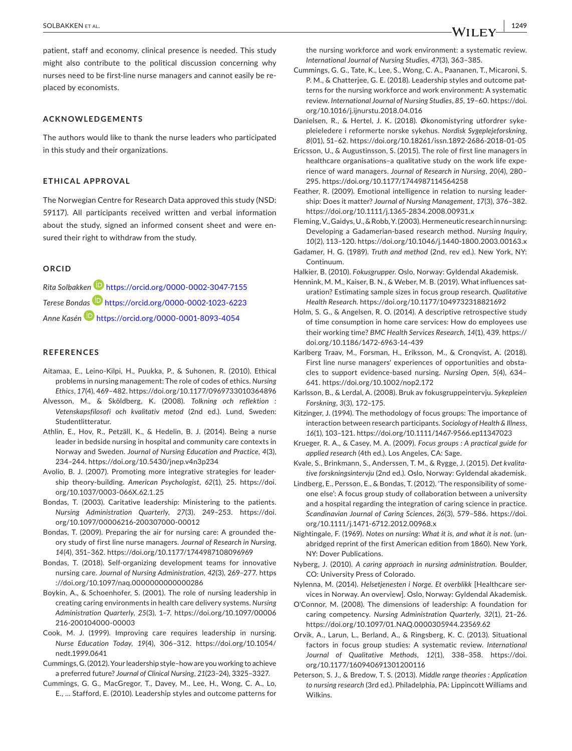patient, staff and economy, clinical presence is needed. This study might also contribute to the political discussion concerning why nurses need to be first-line nurse managers and cannot easily be replaced by economists.

#### **ACKNOWLEDGEMENTS**

The authors would like to thank the nurse leaders who participated in this study and their organizations.

#### **ETHICAL APPROVAL**

The Norwegian Centre for Research Data approved this study (NSD: 59117). All participants received written and verbal information about the study, signed an informed consent sheet and were ensured their right to withdraw from the study.

#### **ORCID**

*Rita Solbakke[n](https://orcid.org/0000-0002-3047-7155)* <https://orcid.org/0000-0002-3047-7155> *Terese Bondas* <https://orcid.org/0000-0002-1023-6223> *Anne Kasé[n](https://orcid.org/0000-0001-8093-4054)* <https://orcid.org/0000-0001-8093-4054>

#### **REFERENCES**

- Aitamaa, E., Leino‐Kilpi, H., Puukka, P., & Suhonen, R. (2010). Ethical problems in nursing management: The role of codes of ethics. *Nursing Ethics*, *17*(4), 469–482. <https://doi.org/10.1177/0969733010364896>
- Alvesson, M., & Sköldberg, K. (2008). *Tolkning och reflektion : Vetenskapsfilosofi och kvalitativ metod* (2nd ed.). Lund, Sweden: Studentlitteratur.
- Athlin, E., Hov, R., Petzäll, K., & Hedelin, B. J. (2014). Being a nurse leader in bedside nursing in hospital and community care contexts in Norway and Sweden. *Journal of Nursing Education and Practice*, *4*(3), 234–244.<https://doi.org/10.5430/jnep.v4n3p234>
- Avolio, B. J. (2007). Promoting more integrative strategies for leader‐ ship theory‐building. *American Psychologist*, *62*(1), 25. [https://doi.](https://doi.org/10.1037/0003-066X.62.1.25) [org/10.1037/0003-066X.62.1.25](https://doi.org/10.1037/0003-066X.62.1.25)
- Bondas, T. (2003). Caritative leadership: Ministering to the patients. *Nursing Administration Quarterly*, *27*(3), 249–253. [https://doi.](https://doi.org/10.1097/00006216-200307000-00012) [org/10.1097/00006216-200307000-00012](https://doi.org/10.1097/00006216-200307000-00012)
- Bondas, T. (2009). Preparing the air for nursing care: A grounded the‐ ory study of first line nurse managers. *Journal of Research in Nursing*, *14*(4), 351–362. <https://doi.org/10.1177/1744987108096969>
- Bondas, T. (2018). Self‐organizing development teams for innovative nursing care. *Journal of Nursing Administration*, *42*(3), 269–277. [https](https://doi.org/10.1097/naq.0000000000000286) [://doi.org/10.1097/naq.0000000000000286](https://doi.org/10.1097/naq.0000000000000286)
- Boykin, A., & Schoenhofer, S. (2001). The role of nursing leadership in creating caring environments in health care delivery systems. *Nursing Administration Quarterly*, *25*(3), 1–7. [https://doi.org/10.1097/00006](https://doi.org/10.1097/00006216-200104000-00003) [216-200104000-00003](https://doi.org/10.1097/00006216-200104000-00003)
- Cook, M. J. (1999). Improving care requires leadership in nursing. *Nurse Education Today*, *19*(4), 306–312. [https://doi.org/10.1054/](https://doi.org/10.1054/nedt.1999.0641) [nedt.1999.0641](https://doi.org/10.1054/nedt.1999.0641)
- Cummings, G. (2012). Your leadership style–how are you working to achieve a preferred future? *Journal of Clinical Nursing*, *21*(23–24), 3325–3327.
- Cummings, G. G., MacGregor, T., Davey, M., Lee, H., Wong, C. A., Lo, E., … Stafford, E. (2010). Leadership styles and outcome patterns for

the nursing workforce and work environment: a systematic review. *International Journal of Nursing Studies*, *47*(3), 363–385.

Cummings, G. G., Tate, K., Lee, S., Wong, C. A., Paananen, T., Micaroni, S. P. M., & Chatterjee, G. E. (2018). Leadership styles and outcome pat‐ terns for the nursing workforce and work environment: A systematic review. *International Journal of Nursing Studies*, *85*, 19–60. [https://doi.](https://doi.org/10.1016/j.ijnurstu.2018.04.016) [org/10.1016/j.ijnurstu.2018.04.016](https://doi.org/10.1016/j.ijnurstu.2018.04.016)

Danielsen, R., & Hertel, J. K. (2018). Økonomistyring utfordrer syke‐ pleieledere i reformerte norske sykehus. *Nordisk Sygeplejeforskning*, *8*(01), 51–62. <https://doi.org/10.18261/issn.1892-2686-2018-01-05>

- Ericsson, U., & Augustinsson, S. (2015). The role of first line managers in healthcare organisations–a qualitative study on the work life expe‐ rience of ward managers. *Journal of Research in Nursing*, *20*(4), 280– 295. <https://doi.org/10.1177/1744987114564258>
- Feather, R. (2009). Emotional intelligence in relation to nursing leader‐ ship: Does it matter? *Journal of Nursing Management*, *17*(3), 376–382. <https://doi.org/10.1111/j.1365-2834.2008.00931.x>
- Fleming, V., Gaidys, U., & Robb, Y. (2003). Hermeneutic research in nursing: Developing a Gadamerian‐based research method. *Nursing Inquiry*, *10*(2), 113–120. <https://doi.org/10.1046/j.1440-1800.2003.00163.x>
- Gadamer, H. G. (1989). *Truth and method* (2nd, rev ed.). New York, NY: Continuum.

Halkier, B. (2010). *Fokusgrupper*. Oslo, Norway: Gyldendal Akademisk.

- Hennink, M. M., Kaiser, B. N., & Weber, M. B. (2019). What influences saturation? Estimating sample sizes in focus group research. *Qualitative Health Research*. <https://doi.org/10.1177/1049732318821692>
- Holm, S. G., & Angelsen, R. O. (2014). A descriptive retrospective study of time consumption in home care services: How do employees use their working time? *BMC Health Services Research*, *14*(1), 439. [https://](https://doi.org/10.1186/1472-6963-14-439) [doi.org/10.1186/1472-6963-14-439](https://doi.org/10.1186/1472-6963-14-439)
- Karlberg Traav, M., Forsman, H., Eriksson, M., & Cronqvist, A. (2018). First line nurse managers' experiences of opportunities and obsta‐ cles to support evidence‐based nursing. *Nursing Open*, *5*(4), 634– 641. <https://doi.org/10.1002/nop2.172>
- Karlsson, B., & Lerdal, A. (2008). Bruk av fokusgruppeintervju. *Sykepleien Forskning*, *3*(3), 172–175.
- Kitzinger, J. (1994). The methodology of focus groups: The importance of interaction between research participants. *Sociology of Health & Illness*, *16*(1), 103–121. <https://doi.org/10.1111/1467-9566.ep11347023>
- Krueger, R. A., & Casey, M. A. (2009). *Focus groups : A practical guide for applied research* (4th ed.). Los Angeles, CA: Sage.
- Kvale, S., Brinkmann, S., Anderssen, T. M., & Rygge, J. (2015). *Det kvalitative forskningsintervju* (2nd ed.). Oslo, Norway: Gyldendal akademisk.
- Lindberg, E., Persson, E., & Bondas, T. (2012). 'The responsibility of some‐ one else': A focus group study of collaboration between a university and a hospital regarding the integration of caring science in practice. *Scandinavian Journal of Caring Sciences*, *26*(3), 579–586. [https://doi.](https://doi.org/10.1111/j.1471-6712.2012.00968.x) [org/10.1111/j.1471-6712.2012.00968.x](https://doi.org/10.1111/j.1471-6712.2012.00968.x)
- Nightingale, F. (1969). *Notes on nursing: What it is, and what it is not*. (un‐ abridged reprint of the first American edition from 1860). New York, NY: Dover Publications.
- Nyberg, J. (2010). *A caring approach in nursing administration*. Boulder, CO: University Press of Colorado.
- Nylenna, M. (2014). *Helsetjenesten i Norge. Et overblikk* [Healthcare ser‐ vices in Norway. An overview]. Oslo, Norway: Gyldendal Akademisk.
- O'Connor, M. (2008). The dimensions of leadership: A foundation for caring competency. *Nursing Administration Quarterly*, *32*(1), 21–26. <https://doi.org/10.1097/01.NAQ.0000305944.23569.62>
- Orvik, A., Larun, L., Berland, A., & Ringsberg, K. C. (2013). Situational factors in focus group studies: A systematic review. *International Journal of Qualitative Methods*, *12*(1), 338–358. [https://doi.](https://doi.org/10.1177/160940691301200116) [org/10.1177/160940691301200116](https://doi.org/10.1177/160940691301200116)
- Peterson, S. J., & Bredow, T. S. (2013). *Middle range theories : Application to nursing research* (3rd ed.). Philadelphia, PA: Lippincott Williams and Wilkins.